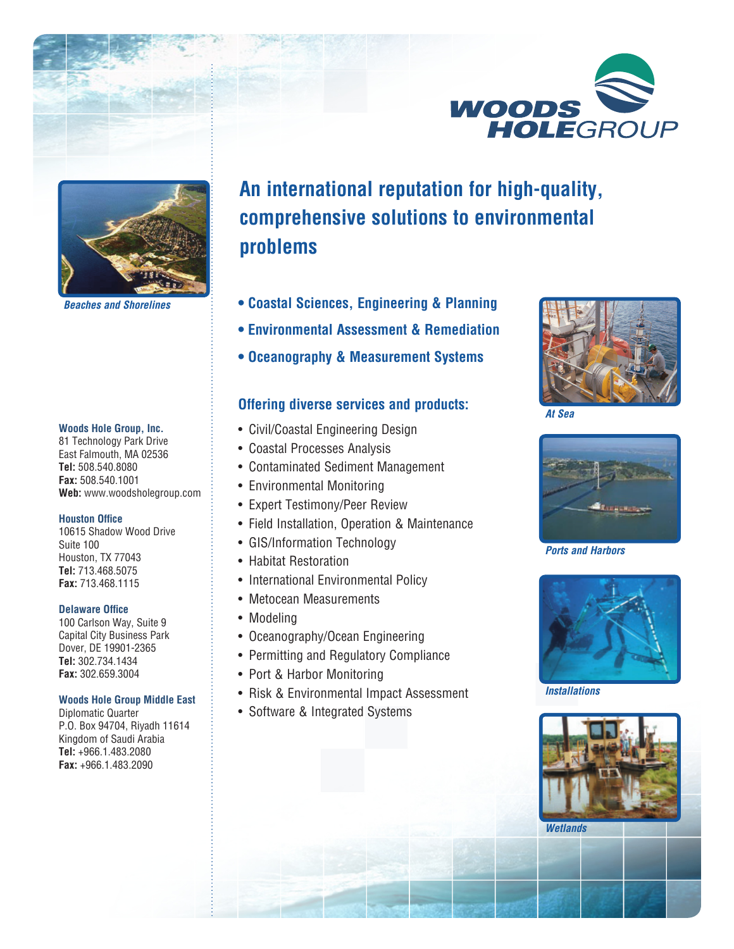



*Beaches and Shorelines*

#### **Woods Hole Group, Inc.**

81 Technology Park Drive East Falmouth, MA 02536 **Tel:** 508.540.8080 **Fax:** 508.540.1001 **Web:** www.woodsholegroup.com

#### **Houston Office**

10615 Shadow Wood Drive Suite 100 Houston, TX 77043 **Tel:** 713.468.5075 **Fax:** 713.468.1115

#### **Delaware Office**

100 Carlson Way, Suite 9 Capital City Business Park Dover, DE 19901-2365 **Tel:** 302.734.1434 **Fax:** 302.659.3004

#### **Woods Hole Group Middle East**

Diplomatic Quarter P.O. Box 94704, Riyadh 11614 Kingdom of Saudi Arabia **Tel:** +966.1.483.2080 **Fax:** +966.1.483.2090

# **An international reputation for high-quality, comprehensive solutions to environmental problems**

- **Coastal Sciences, Engineering & Planning**
- **Environmental Assessment & Remediation**
- **Oceanography & Measurement Systems**

# **Offering diverse services and products:**

- Civil/Coastal Engineering Design
- Coastal Processes Analysis
- Contaminated Sediment Management
- Environmental Monitoring
- Expert Testimony/Peer Review
- Field Installation, Operation & Maintenance
- GIS/Information Technology
- Habitat Restoration
- International Environmental Policy
- Metocean Measurements
- Modeling
- Oceanography/Ocean Engineering
- Permitting and Regulatory Compliance
- Port & Harbor Monitoring
- Risk & Environmental Impact Assessment
- Software & Integrated Systems



*At Sea*



*Ports and Harbors*



*Installations*



*Wetlands*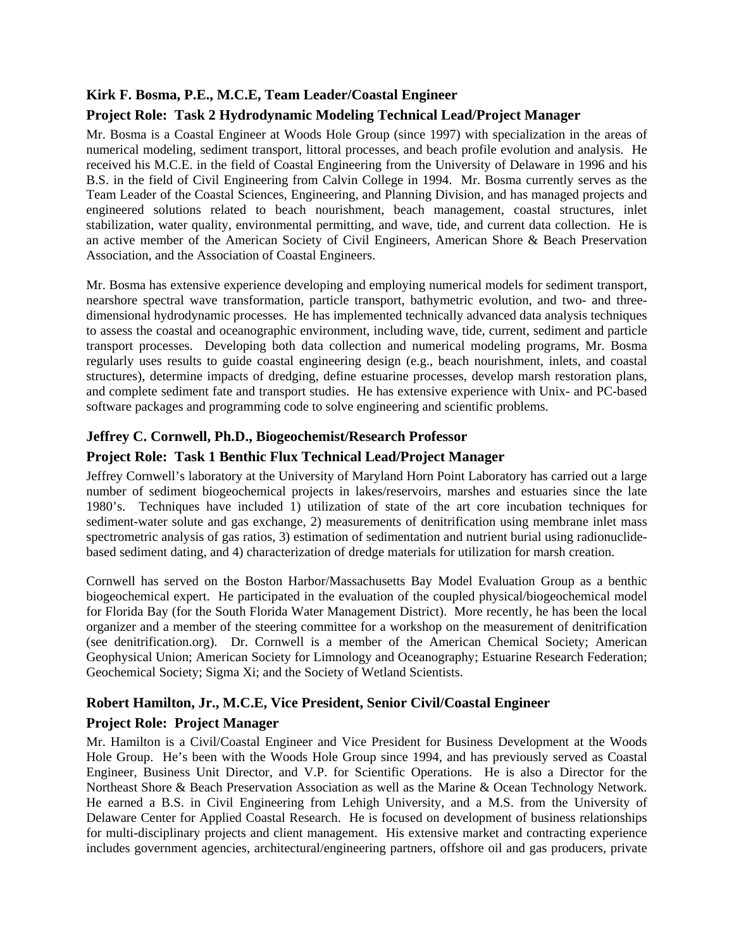# **Kirk F. Bosma, P.E., M.C.E, Team Leader/Coastal Engineer**

# **Project Role: Task 2 Hydrodynamic Modeling Technical Lead/Project Manager**

Mr. Bosma is a Coastal Engineer at Woods Hole Group (since 1997) with specialization in the areas of numerical modeling, sediment transport, littoral processes, and beach profile evolution and analysis. He received his M.C.E. in the field of Coastal Engineering from the University of Delaware in 1996 and his B.S. in the field of Civil Engineering from Calvin College in 1994. Mr. Bosma currently serves as the Team Leader of the Coastal Sciences, Engineering, and Planning Division, and has managed projects and engineered solutions related to beach nourishment, beach management, coastal structures, inlet stabilization, water quality, environmental permitting, and wave, tide, and current data collection. He is an active member of the American Society of Civil Engineers, American Shore & Beach Preservation Association, and the Association of Coastal Engineers.

Mr. Bosma has extensive experience developing and employing numerical models for sediment transport, nearshore spectral wave transformation, particle transport, bathymetric evolution, and two- and threedimensional hydrodynamic processes. He has implemented technically advanced data analysis techniques to assess the coastal and oceanographic environment, including wave, tide, current, sediment and particle transport processes. Developing both data collection and numerical modeling programs, Mr. Bosma regularly uses results to guide coastal engineering design (e.g., beach nourishment, inlets, and coastal structures), determine impacts of dredging, define estuarine processes, develop marsh restoration plans, and complete sediment fate and transport studies. He has extensive experience with Unix- and PC-based software packages and programming code to solve engineering and scientific problems.

## **Jeffrey C. Cornwell, Ph.D., Biogeochemist/Research Professor**

#### **Project Role: Task 1 Benthic Flux Technical Lead/Project Manager**

Jeffrey Cornwell's laboratory at the University of Maryland Horn Point Laboratory has carried out a large number of sediment biogeochemical projects in lakes/reservoirs, marshes and estuaries since the late 1980's. Techniques have included 1) utilization of state of the art core incubation techniques for sediment-water solute and gas exchange, 2) measurements of denitrification using membrane inlet mass spectrometric analysis of gas ratios, 3) estimation of sedimentation and nutrient burial using radionuclidebased sediment dating, and 4) characterization of dredge materials for utilization for marsh creation.

Cornwell has served on the Boston Harbor/Massachusetts Bay Model Evaluation Group as a benthic biogeochemical expert. He participated in the evaluation of the coupled physical/biogeochemical model for Florida Bay (for the South Florida Water Management District). More recently, he has been the local organizer and a member of the steering committee for a workshop on the measurement of denitrification (see denitrification.org). Dr. Cornwell is a member of the American Chemical Society; American Geophysical Union; American Society for Limnology and Oceanography; Estuarine Research Federation; Geochemical Society; Sigma Xi; and the Society of Wetland Scientists.

## **Robert Hamilton, Jr., M.C.E, Vice President, Senior Civil/Coastal Engineer**

## **Project Role: Project Manager**

Mr. Hamilton is a Civil/Coastal Engineer and Vice President for Business Development at the Woods Hole Group. He's been with the Woods Hole Group since 1994, and has previously served as Coastal Engineer, Business Unit Director, and V.P. for Scientific Operations. He is also a Director for the Northeast Shore & Beach Preservation Association as well as the Marine & Ocean Technology Network. He earned a B.S. in Civil Engineering from Lehigh University, and a M.S. from the University of Delaware Center for Applied Coastal Research. He is focused on development of business relationships for multi-disciplinary projects and client management. His extensive market and contracting experience includes government agencies, architectural/engineering partners, offshore oil and gas producers, private